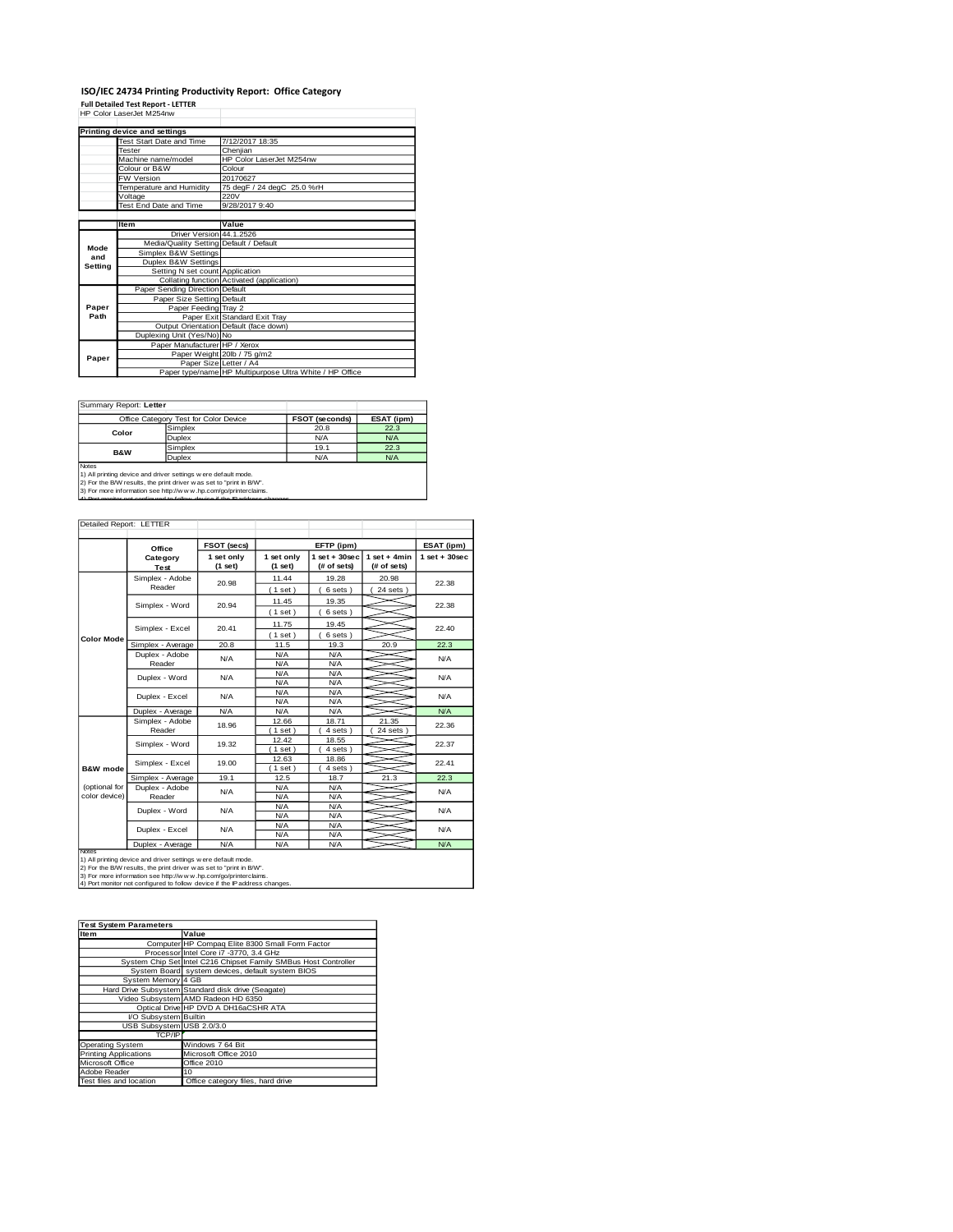## **ISO/IEC 24734 Printing Productivity Report: Office Category Full Detailed Test Report - LETTER** HP Color LaserJet M254nw

|         | Printing device and settings            |                                                         |
|---------|-----------------------------------------|---------------------------------------------------------|
|         | Test Start Date and Time                | 7/12/2017 18:35                                         |
|         | <b>Tester</b>                           | Cheniian                                                |
|         | Machine name/model                      | HP Color Laser let M254nw                               |
|         | Colour or B&W                           | Colour                                                  |
|         | <b>FW Version</b>                       | 20170627                                                |
|         | Temperature and Humidity                | 75 degF / 24 degC 25.0 %rH                              |
|         | Voltage                                 | 220V                                                    |
|         | Test End Date and Time                  | 9/28/2017 9:40                                          |
|         |                                         |                                                         |
|         | <b>Item</b>                             | Value                                                   |
|         | Driver Version 44.1.2526                |                                                         |
| Mode    | Media/Quality Setting Default / Default |                                                         |
| and     | Simplex B&W Settings                    |                                                         |
| Setting | Duplex B&W Settings                     |                                                         |
|         | Setting N set count Application         |                                                         |
|         |                                         | Collating function Activated (application)              |
|         | Paper Sending Direction Default         |                                                         |
|         | Paper Size Setting Default              |                                                         |
| Paper   | Paper Feeding Tray 2                    |                                                         |
| Path    |                                         | Paper Exit Standard Exit Tray                           |
|         |                                         | Output Orientation Default (face down)                  |
|         | Duplexing Unit (Yes/No) No              |                                                         |
|         | Paper Manufacturer HP / Xerox           |                                                         |
| Paper   |                                         | Paper Weight 20lb / 75 g/m2                             |
|         | Paper Size Letter / A4                  |                                                         |
|         |                                         | Paper type/name HP Multipurpose Ultra White / HP Office |

Ī.

Summary Report: **Letter**

|                                                                                                                                                                                                                                                                                                       | Office Category Test for Color Device | FSOT (seconds) | ESAT (ipm) |  |  |
|-------------------------------------------------------------------------------------------------------------------------------------------------------------------------------------------------------------------------------------------------------------------------------------------------------|---------------------------------------|----------------|------------|--|--|
| Color                                                                                                                                                                                                                                                                                                 | Simplex                               | 20.8           | 22.3       |  |  |
|                                                                                                                                                                                                                                                                                                       | <b>Duplex</b>                         | N/A            | N/A        |  |  |
| <b>B&amp;W</b>                                                                                                                                                                                                                                                                                        | Simplex                               | 19.1           | 22.3       |  |  |
|                                                                                                                                                                                                                                                                                                       | Duplex                                | N/A            | N/A        |  |  |
| <b>Notes</b><br>1) All printing device and driver settings w ere default mode.<br>2) For the B/W results, the print driver was set to "print in B/W".<br>3) For more information see http://www.hp.com/go/printerclaims.<br>4) Dort monitor not configured to follow device if the ID address changes |                                       |                |            |  |  |

| Detailed Report: LETTER        |                           |                           |                          |                                   |                               |                 |
|--------------------------------|---------------------------|---------------------------|--------------------------|-----------------------------------|-------------------------------|-----------------|
|                                | Office                    | FSOT (secs)<br>EFTP (ipm) |                          |                                   |                               | ESAT (ipm)      |
|                                | Category<br>Test          | 1 set only<br>(1 set)     | 1 set only<br>(1 set)    | $1$ set + $30$ sec<br>(# of sets) | $1$ set + 4min<br>(# of sets) | $1$ set + 30sec |
|                                | Simplex - Adobe<br>Reader | 20.98                     | 11.44<br>(1 set)         | 19.28<br>6 sets)                  | 20.98<br>$24$ sets $)$        | 22.38           |
|                                | Simplex - Word            | 20.94                     | 11.45<br>(1 set)         | 19.35<br>6 sets)                  |                               | 22.38           |
|                                | Simplex - Excel           | 20.41                     |                          | 19.45<br>6 sets)                  |                               | 22.40           |
| <b>Color Mode</b>              | Simplex - Average         | 20.8                      | 11.5                     | 19.3                              | 20.9                          | 22.3            |
|                                | Duplex - Adobe<br>Reader  | N/A                       | N/A<br>N/A               | N/A<br>N/A                        |                               | <b>N/A</b>      |
|                                | Duplex - Word             | N/A                       | N/A<br>N/A               | N/A<br>N/A                        |                               | N/A             |
|                                | Duplex - Excel            | N/A                       | N/A<br>N/A<br>N/A<br>N/A |                                   |                               | N/A             |
|                                | Duplex - Average          | N/A                       | N/A                      | N/A                               |                               | N/A             |
|                                | Simplex - Adobe<br>Reader | 18.96                     | 12.66<br>1 set           | 18.71<br>4 sets)                  | 21.35<br>24 sets 1            | 22.36           |
|                                | Simplex - Word            | 19.32                     | 12.42<br>$1$ set)        | 18.55<br>4 sets)                  |                               | 22.37           |
| <b>B&amp;W</b> mode            | Simplex - Excel           | 19.00                     | 12.63<br>$1$ set)        | 18.86<br>4 sets)                  |                               | 22.41           |
|                                | Simplex - Average         | 19.1                      | 12.5                     | 18.7                              | 21.3                          | 22.3            |
| (optional for<br>color device) | Duplex - Adobe<br>Reader  | N/A                       | N/A<br>N/A               | N/A<br>N/A                        |                               | <b>N/A</b>      |
|                                | Duplex - Word             | N/A                       | N/A<br>N/A               | N/A<br>N/A                        |                               | <b>N/A</b>      |
|                                | Duplex - Excel            | N/A                       | N/A<br>N/A               | N/A<br>N/A                        |                               | N/A             |
| Notes                          | Duplex - Average          | N/A                       | N/A                      | N/A                               |                               | N/A             |

Notes<br>1) All printing device and driver settings were default mode.<br>2) For the B/W results, the print driver was set to "print in B/W".<br>3) For more information see http://w.w. hp.com/go/printerclaims.<br>4) Por monitor not co

| <b>Test System Parameters</b> |                                                                 |  |  |  |
|-------------------------------|-----------------------------------------------------------------|--|--|--|
| <b>Item</b>                   | Value                                                           |  |  |  |
|                               | Computer HP Compaq Elite 8300 Small Form Factor                 |  |  |  |
|                               | Processor Intel Core i7 -3770, 3.4 GHz                          |  |  |  |
|                               | System Chip Set Intel C216 Chipset Family SMBus Host Controller |  |  |  |
|                               | System Board system devices, default system BIOS                |  |  |  |
| System Memory 4 GB            |                                                                 |  |  |  |
|                               | Hard Drive Subsystem Standard disk drive (Seagate)              |  |  |  |
|                               | Video Subsystem AMD Radeon HD 6350                              |  |  |  |
|                               | Optical Drive HP DVD A DH16aCSHR ATA                            |  |  |  |
| I/O Subsystem Builtin         |                                                                 |  |  |  |
| USB Subsystem USB 2.0/3.0     |                                                                 |  |  |  |
| TCP/IP                        |                                                                 |  |  |  |
| <b>Operating System</b>       | Windows 7 64 Bit                                                |  |  |  |
| <b>Printing Applications</b>  | Microsoft Office 2010                                           |  |  |  |
| Microsoft Office              | Office 2010                                                     |  |  |  |
| Adobe Reader                  | 10                                                              |  |  |  |
| Test files and location       | Office category files, hard drive                               |  |  |  |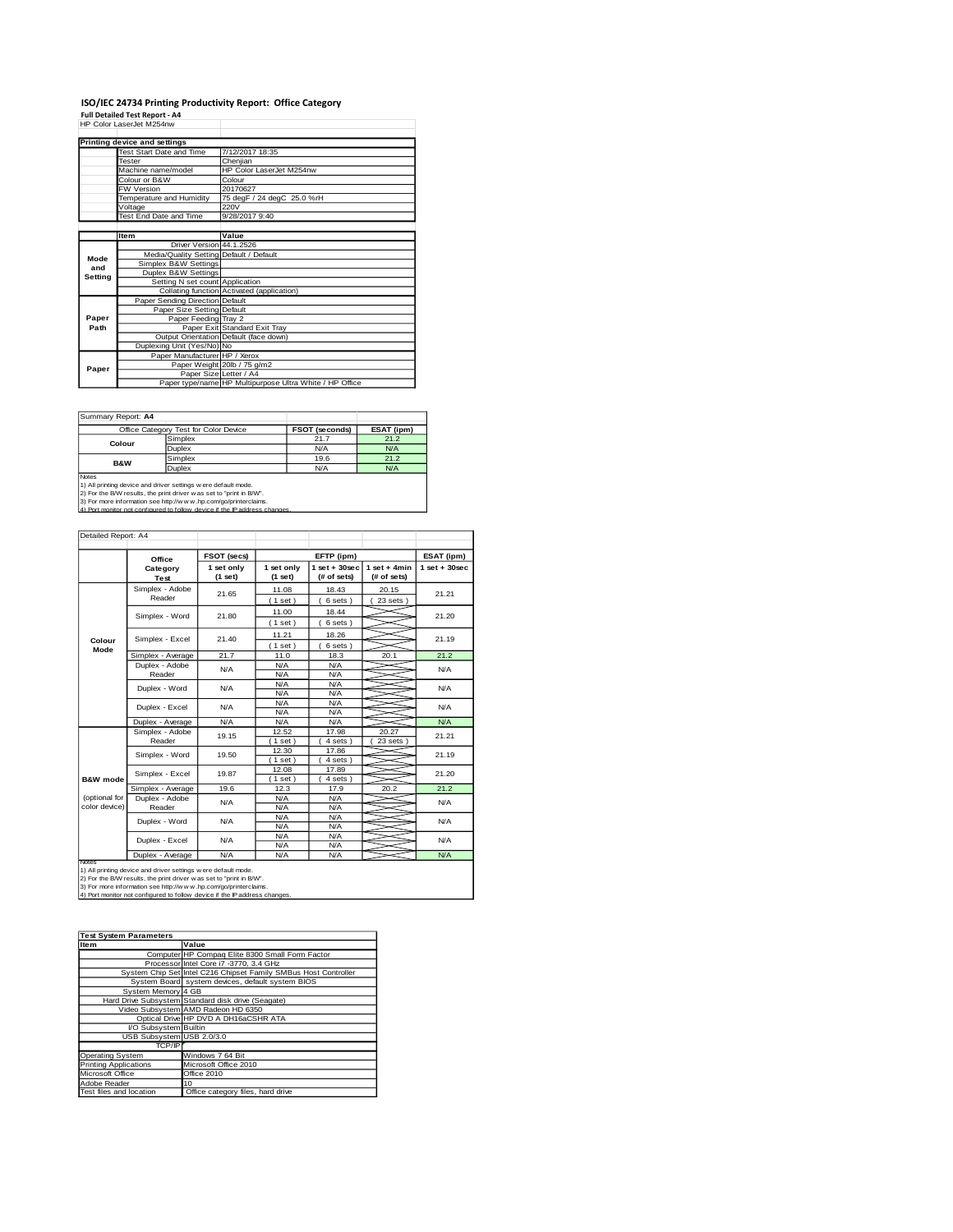# **ISO/IEC 24734 Printing Productivity Report: Office Category Full Detailed Test Report - A4** HP Color LaserJet M254nw

|         | HP Color Laser.Jet M254nw               |                                                         |
|---------|-----------------------------------------|---------------------------------------------------------|
|         | Printing device and settings            |                                                         |
|         | Test Start Date and Time                | 7/12/2017 18:35                                         |
|         | Tester                                  | Cheniian                                                |
|         | Machine name/model                      | HP Color LaserJet M254nw                                |
|         | Colour or B&W                           | Colour                                                  |
|         | <b>FW Version</b>                       | 20170627                                                |
|         | Temperature and Humidity                | 75 degF / 24 degC 25.0 %rH                              |
|         | Voltage                                 | 220V                                                    |
|         | Test End Date and Time                  | 9/28/2017 9:40                                          |
|         |                                         |                                                         |
|         | <b>Item</b>                             | Value                                                   |
|         | Driver Version 44.1.2526                |                                                         |
| Mode    | Media/Quality Setting Default / Default |                                                         |
| and     | Simplex B&W Settings                    |                                                         |
| Setting | Duplex B&W Settings                     |                                                         |
|         | Setting N set count Application         |                                                         |
|         |                                         | Collating function Activated (application)              |
|         | Paper Sending Direction Default         |                                                         |
|         | Paper Size Setting Default              |                                                         |
| Paper   | Paper Feeding Tray 2                    |                                                         |
| Path    |                                         | Paper Exit Standard Exit Tray                           |
|         |                                         | Output Orientation Default (face down)                  |
|         | Duplexing Unit (Yes/No) No              |                                                         |
|         | Paper Manufacturer HP / Xerox           |                                                         |
| Paper   |                                         | Paper Weight 20lb / 75 g/m2                             |
|         |                                         | Paper Size Letter / A4                                  |
|         |                                         | Paper type/name HP Multipurpose Ultra White / HP Office |

Summary Report: **A4**

|                                                                      | Office Category Test for Color Device                                       | <b>FSOT (seconds)</b> | ESAT (ipm) |  |  |  |
|----------------------------------------------------------------------|-----------------------------------------------------------------------------|-----------------------|------------|--|--|--|
| Colour                                                               | Simplex                                                                     | 21.7                  | 21.2       |  |  |  |
|                                                                      | Duplex                                                                      | N/A                   | N/A        |  |  |  |
| <b>B&amp;W</b>                                                       | Simplex                                                                     | 19.6                  | 21.2       |  |  |  |
|                                                                      | Duplex                                                                      | N/A                   | N/A        |  |  |  |
| <b>Notes</b>                                                         |                                                                             |                       |            |  |  |  |
| 1) All printing device and driver settings w ere default mode.       |                                                                             |                       |            |  |  |  |
| 2) For the B/W results, the print driver w as set to "print in B/W". |                                                                             |                       |            |  |  |  |
| 3) For more information see http://www.hp.com/go/printerclaims.      |                                                                             |                       |            |  |  |  |
|                                                                      | 4) Port monitor not configured to follow, device if the IP address changes. |                       |            |  |  |  |

| Detailed Report: A4            |                           |                       |                                                                                  |                                   |                                |                 |  |
|--------------------------------|---------------------------|-----------------------|----------------------------------------------------------------------------------|-----------------------------------|--------------------------------|-----------------|--|
|                                | Office                    | FSOT (secs)           |                                                                                  | EFTP (ipm)                        |                                | ESAT (ipm)      |  |
|                                | Category<br>Test          | 1 set only<br>(1 set) | 1 set only<br>(1 set)                                                            | $1$ set + $30$ sec<br>(# of sets) | $1 set + 4 min$<br>(# of sets) | $1$ set + 30sec |  |
|                                | Simplex - Adobe<br>Reader | 21.65                 | 11.08<br>(1 set)                                                                 | 18.43<br>6 sets)                  | 20.15<br>$23$ sets $)$         | 21.21           |  |
|                                | Simplex - Word            | 21.80                 | 11.00<br>(1 set)                                                                 | 18.44<br>6 sets)                  |                                | 21.20           |  |
| Colour                         | 21.40<br>Simplex - Excel  |                       | 11.21<br>(1 set)                                                                 | 18.26<br>6 sets)                  |                                | 21.19           |  |
| Mode                           | Simplex - Average         | 21.7                  | 11.0                                                                             | 18.3                              | 20.1                           | 21.2            |  |
|                                | Duplex - Adobe<br>Reader  | N/A                   | N/A<br>N/A                                                                       | N/A<br>N/A                        |                                | N/A             |  |
|                                | Duplex - Word             | N/A                   | N/A<br>N/A                                                                       | N/A<br>N/A                        |                                | N/A             |  |
|                                | Duplex - Excel            | N/A                   | N/A<br>N/A                                                                       | N/A<br>N/A                        |                                | N/A             |  |
|                                | Duplex - Average          | N/A                   | N/A                                                                              | N/A                               |                                | N/A             |  |
|                                | Simplex - Adobe<br>Reader | 19.15                 | 12.52<br>$1$ set $)$                                                             | 17.98<br>4 sets)                  | 20.27<br>23 sets 1             | 21.21           |  |
|                                | Simplex - Word            | 19.50                 | 12.30<br>17.86<br>(1 set)<br>4 sets)<br>17.89<br>12.08<br>$1$ set)<br>$4 sets$ ) |                                   |                                | 21.19           |  |
| <b>B&amp;W</b> mode            | Simplex - Excel           | 19.87                 |                                                                                  |                                   |                                | 21.20           |  |
|                                | Simplex - Average         | 19.6                  | 12.3                                                                             | 17.9                              | 20.2                           | 21.2            |  |
| (optional for<br>color device) | Duplex - Adobe<br>Reader  | N/A                   | N/A<br>N/A                                                                       | N/A<br>N/A                        |                                | N/A             |  |
|                                | Duplex - Word             | N/A                   | N/A<br>N/A                                                                       | N/A<br>N/A                        |                                | <b>N/A</b>      |  |
|                                | Duplex - Excel            | N/A                   | N/A<br>N/A                                                                       | N/A<br>N/A                        |                                | N/A             |  |
| Notes                          | Duplex - Average          | N/A                   | N/A                                                                              | N/A                               |                                | N/A             |  |

Notes<br>1) All printing device and driver settings were default mode.<br>2) For the B/W results, the print driver was set to "print in B/W".<br>3) For more information see http://www.hp.com/go/printerclaims.<br>4) Por monitor not con

| <b>Test System Parameters</b> |                                                                 |  |  |  |
|-------------------------------|-----------------------------------------------------------------|--|--|--|
| Item                          | Value                                                           |  |  |  |
|                               | Computer HP Compaq Elite 8300 Small Form Factor                 |  |  |  |
|                               | Processor Intel Core i7 -3770, 3.4 GHz                          |  |  |  |
|                               | System Chip Set Intel C216 Chipset Family SMBus Host Controller |  |  |  |
|                               | System Board system devices, default system BIOS                |  |  |  |
| System Memory 4 GB            |                                                                 |  |  |  |
|                               | Hard Drive Subsystem Standard disk drive (Seagate)              |  |  |  |
|                               | Video Subsystem AMD Radeon HD 6350                              |  |  |  |
|                               | Optical Drive HP DVD A DH16aCSHR ATA                            |  |  |  |
| I/O Subsystem Builtin         |                                                                 |  |  |  |
| USB Subsystem USB 2.0/3.0     |                                                                 |  |  |  |
| TCP/IP                        |                                                                 |  |  |  |
| <b>Operating System</b>       | Windows 7 64 Bit                                                |  |  |  |
| <b>Printing Applications</b>  | Microsoft Office 2010                                           |  |  |  |
| Microsoft Office              | Office 2010                                                     |  |  |  |
| Adobe Reader                  | 10                                                              |  |  |  |
| Test files and location       | Office category files, hard drive                               |  |  |  |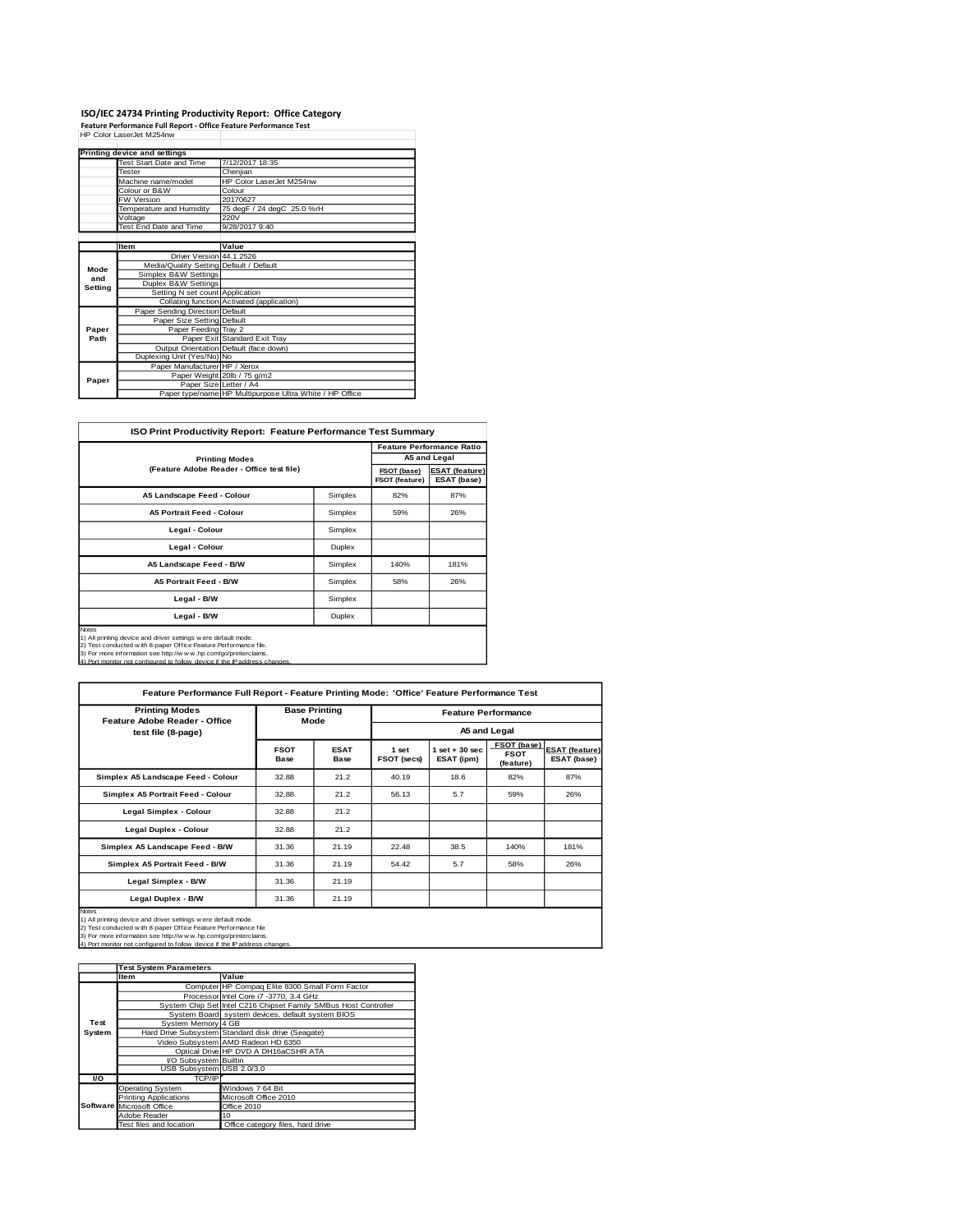### **ISO/IEC 24734 Printing Productivity Report: Office Category Feature Performance Full Report - Office Feature Performance Test** HP Color LaserJet M254nw

|         | Printing device and settings            |                                                         |
|---------|-----------------------------------------|---------------------------------------------------------|
|         | Test Start Date and Time                | 7/12/2017 18:35                                         |
|         | Tester                                  | Cheniian                                                |
|         | Machine name/model                      | HP Color LaserJet M254nw                                |
|         | Colour or B&W                           | Colour                                                  |
|         | <b>FW Version</b>                       | 20170627                                                |
|         | Temperature and Humidity                | 75 degF / 24 degC 25.0 %rH                              |
|         | Voltage                                 | 220V                                                    |
|         | Test End Date and Time                  | 9/28/2017 9:40                                          |
|         |                                         |                                                         |
|         | <b>Item</b>                             | Value                                                   |
|         | Driver Version 44.1.2526                |                                                         |
| Mode    | Media/Quality Setting Default / Default |                                                         |
| and     | Simplex B&W Settings                    |                                                         |
| Setting | Duplex B&W Settings                     |                                                         |
|         | Setting N set count Application         |                                                         |
|         |                                         | Collating function Activated (application)              |
|         | Paper Sending Direction Default         |                                                         |
|         | Paper Size Setting Default              |                                                         |
| Paper   | Paper Feeding Tray 2                    |                                                         |
| Path    |                                         | Paper Exit Standard Exit Tray                           |
|         |                                         | Output Orientation Default (face down)                  |
|         | Duplexing Unit (Yes/No) No              |                                                         |
|         | Paper Manufacturer HP / Xerox           |                                                         |
| Paper   |                                         | Paper Weight 20lb / 75 g/m2                             |
|         | Paper Size Letter / A4                  |                                                         |
|         |                                         | Paper type/name HP Multipurpose Ultra White / HP Office |

 $\mathcal{L}_{\mathcal{A}}$ 

| <b>ISO Print Productivity Report: Feature Performance Test Summary</b>                                                                                                                                                                                                                         |               |      |                                  |  |  |  |
|------------------------------------------------------------------------------------------------------------------------------------------------------------------------------------------------------------------------------------------------------------------------------------------------|---------------|------|----------------------------------|--|--|--|
|                                                                                                                                                                                                                                                                                                |               |      | <b>Feature Performance Ratio</b> |  |  |  |
| <b>Printing Modes</b>                                                                                                                                                                                                                                                                          |               |      | A5 and Legal                     |  |  |  |
| (Feature Adobe Reader - Office test file)                                                                                                                                                                                                                                                      |               |      |                                  |  |  |  |
| A5 Landscape Feed - Colour                                                                                                                                                                                                                                                                     | Simplex       | 82%  | 87%                              |  |  |  |
| <b>A5 Portrait Feed - Colour</b>                                                                                                                                                                                                                                                               | Simplex       | 59%  | 26%                              |  |  |  |
| Legal - Colour                                                                                                                                                                                                                                                                                 | Simplex       |      |                                  |  |  |  |
| Legal - Colour                                                                                                                                                                                                                                                                                 | <b>Duplex</b> |      |                                  |  |  |  |
| A5 Landscape Feed - B/W                                                                                                                                                                                                                                                                        | Simplex       | 140% | 181%                             |  |  |  |
| <b>A5 Portrait Feed - B/W</b>                                                                                                                                                                                                                                                                  | Simplex       | 58%  | 26%                              |  |  |  |
| Legal - B/W                                                                                                                                                                                                                                                                                    | Simplex       |      |                                  |  |  |  |
| Legal - B/W<br><b>Duplex</b>                                                                                                                                                                                                                                                                   |               |      |                                  |  |  |  |
| Notes<br>1) All printing device and driver settings w ere default mode.<br>2) Test conducted w ith 8-paper Office Feature Performance file.<br>3) For more information see http://w w w .hp.com/go/printerclaims.<br>4) Port monitor not configured to follow device if the IP address changes |               |      |                                  |  |  |  |

| Feature Performance Full Report - Feature Printing Mode: 'Office' Feature Performance Test                                                                                                                                                                                                          |                              |                            |                            |                                 |                                         |                                      |
|-----------------------------------------------------------------------------------------------------------------------------------------------------------------------------------------------------------------------------------------------------------------------------------------------------|------------------------------|----------------------------|----------------------------|---------------------------------|-----------------------------------------|--------------------------------------|
| <b>Printing Modes</b><br><b>Feature Adobe Reader - Office</b>                                                                                                                                                                                                                                       | <b>Base Printing</b><br>Mode |                            | <b>Feature Performance</b> |                                 |                                         |                                      |
| test file (8-page)                                                                                                                                                                                                                                                                                  |                              |                            | A5 and Legal               |                                 |                                         |                                      |
|                                                                                                                                                                                                                                                                                                     | <b>FSOT</b><br>Base          | <b>ESAT</b><br><b>Base</b> | 1 set<br>FSOT (secs)       | $1$ set $+30$ sec<br>ESAT (ipm) | FSOT (base)<br><b>FSOT</b><br>(feature) | <b>ESAT (feature)</b><br>ESAT (base) |
| Simplex A5 Landscape Feed - Colour                                                                                                                                                                                                                                                                  | 32.88                        | 21.2                       | 40.19                      | 18.6                            | 82%                                     | 87%                                  |
| Simplex A5 Portrait Feed - Colour                                                                                                                                                                                                                                                                   | 32.88                        | 21.2                       | 56.13                      | 5.7                             | 59%                                     | 26%                                  |
| Legal Simplex - Colour                                                                                                                                                                                                                                                                              | 32.88                        | 21.2                       |                            |                                 |                                         |                                      |
| Legal Duplex - Colour                                                                                                                                                                                                                                                                               | 32.88                        | 21.2                       |                            |                                 |                                         |                                      |
| Simplex A5 Landscape Feed - B/W                                                                                                                                                                                                                                                                     | 31.36                        | 21.19                      | 22.48                      | 38.5                            | 140%                                    | 181%                                 |
| Simplex A5 Portrait Feed - B/W                                                                                                                                                                                                                                                                      | 31.36                        | 21.19                      | 54.42                      | 5.7                             | 58%                                     | 26%                                  |
| Legal Simplex - B/W                                                                                                                                                                                                                                                                                 | 31.36                        | 21.19                      |                            |                                 |                                         |                                      |
| Legal Duplex - B/W<br>31.36<br>21.19                                                                                                                                                                                                                                                                |                              |                            |                            |                                 |                                         |                                      |
| <b>Notes</b><br>1) All printing device and driver settings were default mode.<br>2) Test conducted with 8-paper Office Feature Performance file<br>3) For more information see http://w w w .hp.com/go/printerclaims.<br>4) Port monitor not configured to follow device if the IP address changes. |                              |                            |                            |                                 |                                         |                                      |

|        | <b>Test System Parameters</b> |                                                                 |  |  |
|--------|-------------------------------|-----------------------------------------------------------------|--|--|
|        | <b>Item</b>                   | Value                                                           |  |  |
|        |                               | Computer HP Compaq Elite 8300 Small Form Factor                 |  |  |
|        |                               | Processor Intel Core i7 -3770, 3.4 GHz                          |  |  |
|        |                               | System Chip Set Intel C216 Chipset Family SMBus Host Controller |  |  |
|        |                               | System Board system devices, default system BIOS                |  |  |
| Test   | System Memory 4 GB            |                                                                 |  |  |
| System |                               | Hard Drive Subsystem Standard disk drive (Seagate)              |  |  |
|        |                               | Video Subsystem AMD Radeon HD 6350                              |  |  |
|        |                               | Optical Drive HP DVD A DH16aCSHR ATA                            |  |  |
|        | I/O Subsystem Builtin         |                                                                 |  |  |
|        | USB Subsystem USB 2.0/3.0     |                                                                 |  |  |
| VO.    | TCP/IP                        |                                                                 |  |  |
|        | <b>Operating System</b>       | Windows 7 64 Bit                                                |  |  |
|        | <b>Printing Applications</b>  | Microsoft Office 2010                                           |  |  |
|        | Software Microsoft Office     | Office 2010                                                     |  |  |
|        | Adobe Reader                  | 10                                                              |  |  |
|        | Test files and location       | Office category files, hard drive                               |  |  |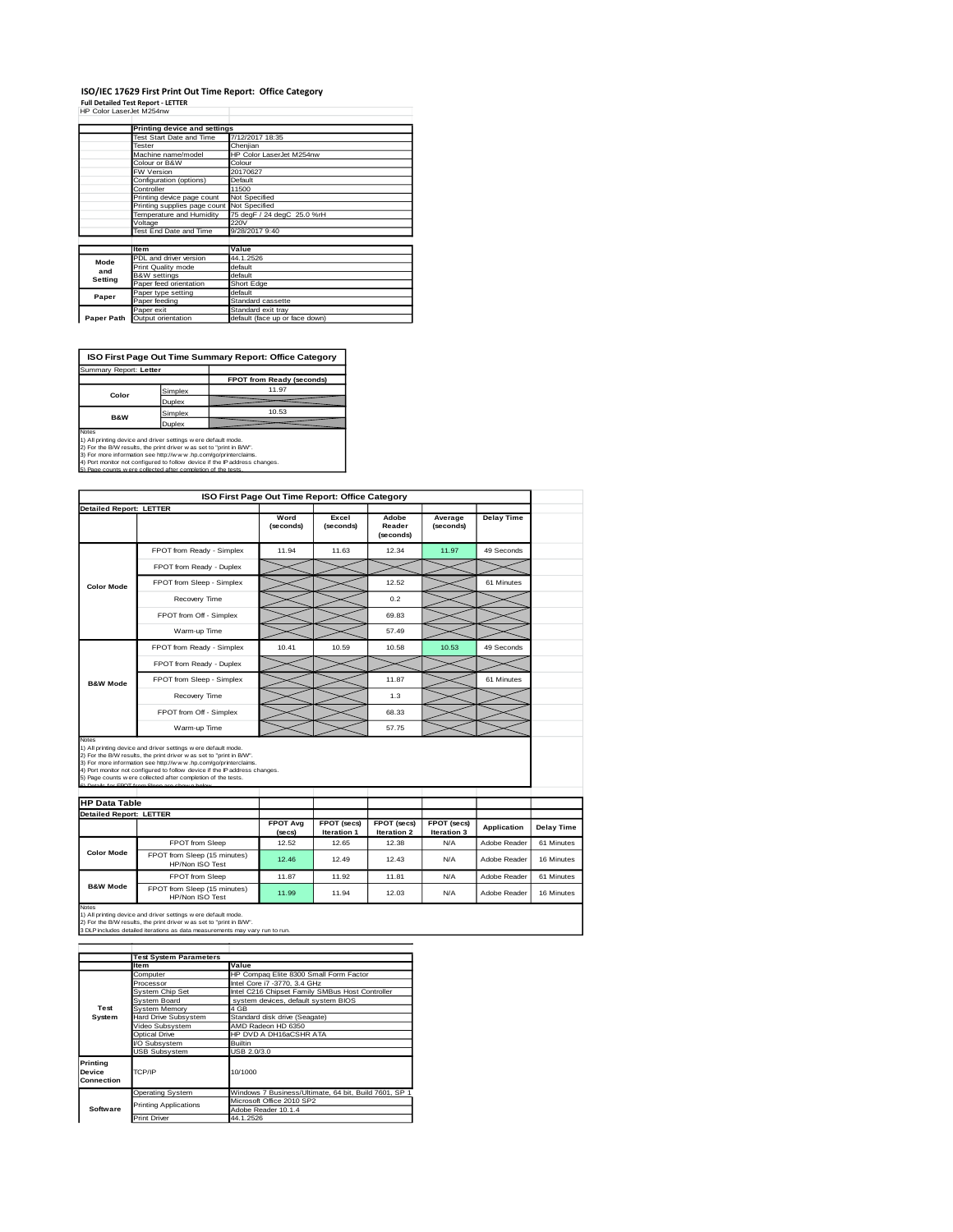#### **ISO/IEC 17629 First Print Out Time Report: Office Category Full Detailed Test Report - LETTER** HP Color LaserJet M254nw

|            | Printing device and settings               |                                |  |  |  |  |
|------------|--------------------------------------------|--------------------------------|--|--|--|--|
|            | Test Start Date and Time                   | 7/12/2017 18:35                |  |  |  |  |
|            | Tester                                     | Cheniian                       |  |  |  |  |
|            | Machine name/model                         | HP Color LaserJet M254nw       |  |  |  |  |
|            | Colour or B&W                              | Colour                         |  |  |  |  |
|            | FW Version                                 | 20170627                       |  |  |  |  |
|            | Configuration (options)                    | Default                        |  |  |  |  |
|            | Controller                                 | 11500                          |  |  |  |  |
|            | Printing device page count                 | Not Specified                  |  |  |  |  |
|            | Printing supplies page count Not Specified |                                |  |  |  |  |
|            | Temperature and Humidity                   | 75 degF / 24 degC 25.0 %rH     |  |  |  |  |
|            | Voltage                                    | 220V<br>9/28/2017 9:40         |  |  |  |  |
|            | Test End Date and Time                     |                                |  |  |  |  |
|            |                                            |                                |  |  |  |  |
|            | <b>Item</b>                                | Value                          |  |  |  |  |
| Mode       | PDL and driver version                     | 44.1.2526                      |  |  |  |  |
| and        | Print Quality mode                         | default                        |  |  |  |  |
| Setting    | <b>B&amp;W</b> settings                    | default                        |  |  |  |  |
|            | Paper feed orientation                     | Short Edge                     |  |  |  |  |
| Paper      | Paper type setting                         | default                        |  |  |  |  |
|            | Paper feeding                              | Standard cassette              |  |  |  |  |
|            | Paper exit                                 | Standard exit tray             |  |  |  |  |
| Paper Path | Output orientation                         | default (face up or face down) |  |  |  |  |

**ISO First Page Out Time Summary Report: Office Category**

|                |         | FPOT from Ready (seconds) |
|----------------|---------|---------------------------|
|                |         |                           |
| Color          | Simplex | 11.97                     |
|                | Duplex  |                           |
| <b>B&amp;W</b> | Simplex | 10.53                     |
|                | Duplex  |                           |

Notes<br>1) All printing device and driver settings were default mode.<br>2) For the BW results, the print driver was set to "print in BW".<br>3) For more information see http://www.hp.com/gofprinterclaims.<br>4) Port monitor not conf

|                                                        |                                                                                                                                                                                                                                                                                                                                                                                                          | ISO First Page Out Time Report: Office Category |                            |                              |                            |                    |  |  |
|--------------------------------------------------------|----------------------------------------------------------------------------------------------------------------------------------------------------------------------------------------------------------------------------------------------------------------------------------------------------------------------------------------------------------------------------------------------------------|-------------------------------------------------|----------------------------|------------------------------|----------------------------|--------------------|--|--|
| <b>Detailed Report: LETTER</b>                         |                                                                                                                                                                                                                                                                                                                                                                                                          |                                                 |                            |                              |                            |                    |  |  |
|                                                        |                                                                                                                                                                                                                                                                                                                                                                                                          | Word<br>(seconds)                               | Excel<br>(seconds)         | Adobe<br>Reader<br>(seconds) | Average<br>(seconds)       | <b>Delay Time</b>  |  |  |
|                                                        | FPOT from Ready - Simplex                                                                                                                                                                                                                                                                                                                                                                                | 11.94                                           | 11.63                      | 12.34                        | 11.97                      | 49 Seconds         |  |  |
|                                                        | FPOT from Ready - Duplex                                                                                                                                                                                                                                                                                                                                                                                 |                                                 |                            |                              |                            |                    |  |  |
| <b>Color Mode</b>                                      | FPOT from Sleep - Simplex                                                                                                                                                                                                                                                                                                                                                                                |                                                 |                            | 12.52                        |                            | 61 Minutes         |  |  |
|                                                        | Recovery Time                                                                                                                                                                                                                                                                                                                                                                                            |                                                 |                            | 0.2                          |                            |                    |  |  |
|                                                        | FPOT from Off - Simplex                                                                                                                                                                                                                                                                                                                                                                                  |                                                 |                            | 69.83                        |                            |                    |  |  |
|                                                        | Warm-up Time                                                                                                                                                                                                                                                                                                                                                                                             |                                                 |                            | 57.49                        |                            |                    |  |  |
|                                                        | FPOT from Ready - Simplex                                                                                                                                                                                                                                                                                                                                                                                | 10.41                                           | 10.59                      | 10.58                        | 10.53                      | 49 Seconds         |  |  |
|                                                        | FPOT from Ready - Duplex                                                                                                                                                                                                                                                                                                                                                                                 |                                                 |                            |                              |                            |                    |  |  |
| <b>B&amp;W Mode</b>                                    | FPOT from Sleep - Simplex                                                                                                                                                                                                                                                                                                                                                                                |                                                 |                            | 11.87                        |                            | 61 Minutes         |  |  |
|                                                        |                                                                                                                                                                                                                                                                                                                                                                                                          |                                                 |                            |                              |                            |                    |  |  |
|                                                        | Recovery Time                                                                                                                                                                                                                                                                                                                                                                                            |                                                 |                            | 1.3                          |                            |                    |  |  |
|                                                        | FPOT from Off - Simplex                                                                                                                                                                                                                                                                                                                                                                                  |                                                 |                            | 68.33                        |                            |                    |  |  |
| Notes                                                  | Warm-up Time                                                                                                                                                                                                                                                                                                                                                                                             |                                                 |                            | 57.75                        |                            |                    |  |  |
| <b>HP Data Table</b><br><b>Detailed Report: LETTER</b> | 1) All printing device and driver settings were default mode.<br>2) For the B/W results, the print driver was set to "print in B/W".<br>3) For more information see http://www.hp.com/go/printerclaims.<br>4) Port monitor not configured to follow device if the IP address changes.<br>5) Page counts w ere collected after completion of the tests.<br>6) Details for FROT from Sleep are shown below |                                                 |                            |                              |                            |                    |  |  |
|                                                        |                                                                                                                                                                                                                                                                                                                                                                                                          | <b>FPOT Avg</b><br>(secs)                       | FPOT (secs)<br>Iteration 1 | FPOT (secs)<br>Iteration 2   | FPOT (secs)<br>Iteration 3 | <b>Application</b> |  |  |
|                                                        | FPOT from Sleep                                                                                                                                                                                                                                                                                                                                                                                          | 12.52                                           | 12.65                      | 12.38                        | N/A                        | Adobe Reader       |  |  |
| <b>Color Mode</b>                                      | FPOT from Sleep (15 minutes)<br>HP/Non ISO Test                                                                                                                                                                                                                                                                                                                                                          | 12.46                                           | 12.49                      | 12.43                        | N/A                        | Adobe Reader       |  |  |
| <b>B&amp;W Mode</b>                                    | FPOT from Sleep                                                                                                                                                                                                                                                                                                                                                                                          | 11.87                                           | 11.92                      | 11.81                        | N/A                        | Adobe Reader       |  |  |

1) All printing device and driver settings w ere default mode.<br>2) For the B/W results, the print driver w as set to "print in B/W".<br>3 DLP includes detailed iterations as data measurements may vary run to run.

|                                  | <b>Test System Parameters</b> |                                                       |  |  |  |  |
|----------------------------------|-------------------------------|-------------------------------------------------------|--|--|--|--|
|                                  | <b>Item</b>                   | Value                                                 |  |  |  |  |
|                                  | Computer                      | HP Compaq Elite 8300 Small Form Factor                |  |  |  |  |
|                                  | Processor                     | Intel Core i7 -3770, 3.4 GHz                          |  |  |  |  |
|                                  | System Chip Set               | Intel C216 Chipset Family SMBus Host Controller       |  |  |  |  |
|                                  | System Board                  | system devices, default system BIOS                   |  |  |  |  |
| Test                             | System Memory                 | 4 GB                                                  |  |  |  |  |
| System                           | Hard Drive Subsystem          | Standard disk drive (Seagate)                         |  |  |  |  |
|                                  | Video Subsystem               | AMD Radeon HD 6350                                    |  |  |  |  |
|                                  | Optical Drive                 | HP DVD A DH16aCSHR ATA                                |  |  |  |  |
|                                  | VO Subsystem                  | <b>Builtin</b>                                        |  |  |  |  |
|                                  | <b>USB Subsystem</b>          | USB 2.0/3.0                                           |  |  |  |  |
| Printing<br>Device<br>Connection | TCP/IP                        | 10/1000                                               |  |  |  |  |
|                                  | <b>Operating System</b>       | Windows 7 Business/Ultimate, 64 bit, Build 7601, SP 1 |  |  |  |  |
|                                  | <b>Printing Applications</b>  | Microsoft Office 2010 SP2                             |  |  |  |  |
| Software                         |                               | Adobe Reader 10.1.4                                   |  |  |  |  |
|                                  | <b>Print Driver</b>           | 44.1.2526                                             |  |  |  |  |